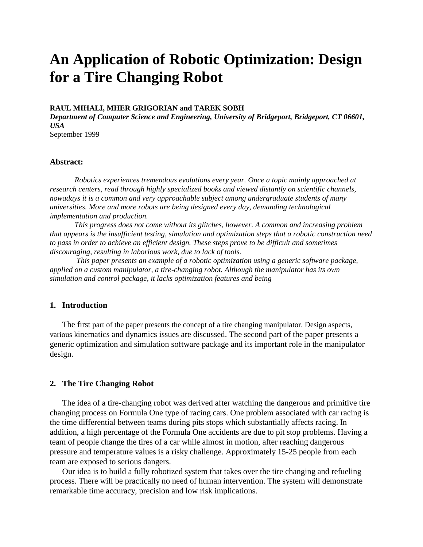# **An Application of Robotic Optimization: Design for a Tire Changing Robot**

#### **RAUL MIHALI, MHER GRIGORIAN and TAREK SOBH**

*Department of Computer Science and Engineering, University of Bridgeport, Bridgeport, CT 06601, USA*

September 1999

#### **Abstract:**

*Robotics experiences tremendous evolutions every year. Once a topic mainly approached at research centers, read through highly specialized books and viewed distantly on scientific channels, nowadays it is a common and very approachable subject among undergraduate students of many universities. More and more robots are being designed every day, demanding technological implementation and production.*

*This progress does not come without its glitches, however. A common and increasing problem that appears is the insufficient testing, simulation and optimization steps that a robotic construction need to pass in order to achieve an efficient design. These steps prove to be difficult and sometimes discouraging, resulting in laborious work, due to lack of tools.*

 *This paper presents an example of a robotic optimization using a generic software package, applied on a custom manipulator, a tire-changing robot. Although the manipulator has its own simulation and control package, it lacks optimization features and being*

## **1. Introduction**

The first part of the paper presents the concept of a tire changing manipulator. Design aspects, various kinematics and dynamics issues are discussed. The second part of the paper presents a generic optimization and simulation software package and its important role in the manipulator design.

# **2. The Tire Changing Robot**

The idea of a tire-changing robot was derived after watching the dangerous and primitive tire changing process on Formula One type of racing cars. One problem associated with car racing is the time differential between teams during pits stops which substantially affects racing. In addition, a high percentage of the Formula One accidents are due to pit stop problems. Having a team of people change the tires of a car while almost in motion, after reaching dangerous pressure and temperature values is a risky challenge. Approximately 15-25 people from each team are exposed to serious dangers.

Our idea is to build a fully robotized system that takes over the tire changing and refueling process. There will be practically no need of human intervention. The system will demonstrate remarkable time accuracy, precision and low risk implications.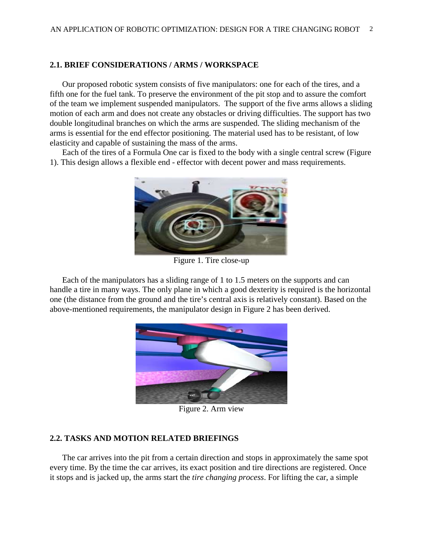# **2.1. BRIEF CONSIDERATIONS / ARMS / WORKSPACE**

Our proposed robotic system consists of five manipulators: one for each of the tires, and a fifth one for the fuel tank. To preserve the environment of the pit stop and to assure the comfort of the team we implement suspended manipulators. The support of the five arms allows a sliding motion of each arm and does not create any obstacles or driving difficulties. The support has two double longitudinal branches on which the arms are suspended. The sliding mechanism of the arms is essential for the end effector positioning. The material used has to be resistant, of low elasticity and capable of sustaining the mass of the arms.

Each of the tires of a Formula One car is fixed to the body with a single central screw (Figure 1). This design allows a flexible end - effector with decent power and mass requirements.



Figure 1. Tire close-up

Each of the manipulators has a sliding range of 1 to 1.5 meters on the supports and can handle a tire in many ways. The only plane in which a good dexterity is required is the horizontal one (the distance from the ground and the tire's central axis is relatively constant). Based on the above-mentioned requirements, the manipulator design in Figure 2 has been derived.



Figure 2. Arm view

# **2.2. TASKS AND MOTION RELATED BRIEFINGS**

The car arrives into the pit from a certain direction and stops in approximately the same spot every time. By the time the car arrives, its exact position and tire directions are registered. Once it stops and is jacked up, the arms start the *tire changing process*. For lifting the car, a simple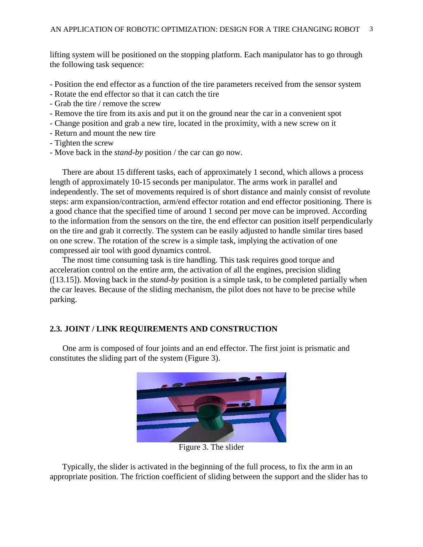lifting system will be positioned on the stopping platform. Each manipulator has to go through the following task sequence:

- Position the end effector as a function of the tire parameters received from the sensor system
- Rotate the end effector so that it can catch the tire
- Grab the tire / remove the screw
- Remove the tire from its axis and put it on the ground near the car in a convenient spot
- Change position and grab a new tire, located in the proximity, with a new screw on it
- Return and mount the new tire
- Tighten the screw
- Move back in the *stand-by* position / the car can go now.

There are about 15 different tasks, each of approximately 1 second, which allows a process length of approximately 10-15 seconds per manipulator. The arms work in parallel and independently. The set of movements required is of short distance and mainly consist of revolute steps: arm expansion/contraction, arm/end effector rotation and end effector positioning. There is a good chance that the specified time of around 1 second per move can be improved. According to the information from the sensors on the tire, the end effector can position itself perpendicularly on the tire and grab it correctly. The system can be easily adjusted to handle similar tires based on one screw. The rotation of the screw is a simple task, implying the activation of one compressed air tool with good dynamics control.

The most time consuming task is tire handling. This task requires good torque and acceleration control on the entire arm, the activation of all the engines, precision sliding ([13.15]). Moving back in the *stand-by* position is a simple task, to be completed partially when the car leaves. Because of the sliding mechanism, the pilot does not have to be precise while parking.

# **2.3. JOINT / LINK REQUIREMENTS AND CONSTRUCTION**

One arm is composed of four joints and an end effector. The first joint is prismatic and constitutes the sliding part of the system (Figure 3).



Figure 3. The slider

Typically, the slider is activated in the beginning of the full process, to fix the arm in an appropriate position. The friction coefficient of sliding between the support and the slider has to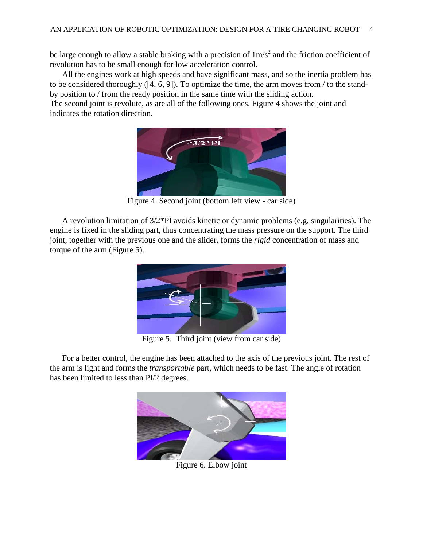be large enough to allow a stable braking with a precision of  $1 \text{m/s}^2$  and the friction coefficient of revolution has to be small enough for low acceleration control.

All the engines work at high speeds and have significant mass, and so the inertia problem has to be considered thoroughly ([4, 6, 9]). To optimize the time, the arm moves from / to the standby position to / from the ready position in the same time with the sliding action.

The second joint is revolute, as are all of the following ones. Figure 4 shows the joint and indicates the rotation direction.



Figure 4. Second joint (bottom left view - car side)

A revolution limitation of 3/2\*PI avoids kinetic or dynamic problems (e.g. singularities). The engine is fixed in the sliding part, thus concentrating the mass pressure on the support. The third joint, together with the previous one and the slider, forms the *rigid* concentration of mass and torque of the arm (Figure 5).



Figure 5. Third joint (view from car side)

For a better control, the engine has been attached to the axis of the previous joint. The rest of the arm is light and forms the *transportable* part, which needs to be fast. The angle of rotation has been limited to less than PI/2 degrees.



Figure 6. Elbow joint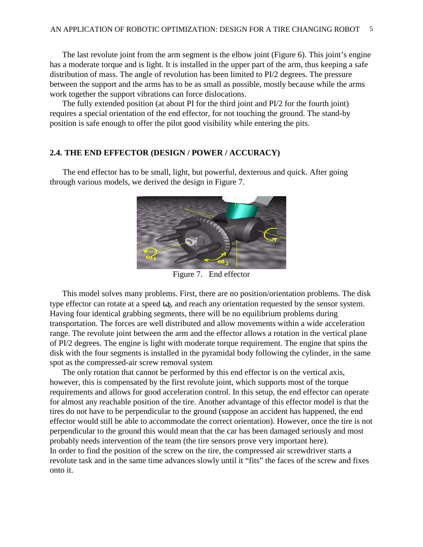The last revolute joint from the arm segment is the elbow joint (Figure 6). This joint's engine has a moderate torque and is light. It is installed in the upper part of the arm, thus keeping a safe distribution of mass. The angle of revolution has been limited to PI/2 degrees. The pressure between the support and the arms has to be as small as possible, mostly because while the arms work together the support vibrations can force dislocations.

The fully extended position (at about PI for the third joint and PI/2 for the fourth joint) requires a special orientation of the end effector, for not touching the ground. The stand-by position is safe enough to offer the pilot good visibility while entering the pits.

## **2.4. THE END EFFECTOR (DESIGN / POWER / ACCURACY)**

The end effector has to be small, light, but powerful, dexterous and quick. After going through various models, we derived the design in Figure 7.



Figure 7. End effector

This model solves many problems. First, there are no position/orientation problems. The disk type effector can rotate at a speed  $\omega_2$ , and reach any orientation requested by the sensor system. Having four identical grabbing segments, there will be no equilibrium problems during transportation. The forces are well distributed and allow movements within a wide acceleration range. The revolute joint between the arm and the effector allows a rotation in the vertical plane of PI/2 degrees. The engine is light with moderate torque requirement. The engine that spins the disk with the four segments is installed in the pyramidal body following the cylinder, in the same spot as the compressed-air screw removal system

The only rotation that cannot be performed by this end effector is on the vertical axis, however, this is compensated by the first revolute joint, which supports most of the torque requirements and allows for good acceleration control. In this setup, the end effector can operate for almost any reachable position of the tire. Another advantage of this effector model is that the tires do not have to be perpendicular to the ground (suppose an accident has happened, the end effector would still be able to accommodate the correct orientation). However, once the tire is not perpendicular to the ground this would mean that the car has been damaged seriously and most probably needs intervention of the team (the tire sensors prove very important here). In order to find the position of the screw on the tire, the compressed air screwdriver starts a revolute task and in the same time advances slowly until it "fits" the faces of the screw and fixes onto it.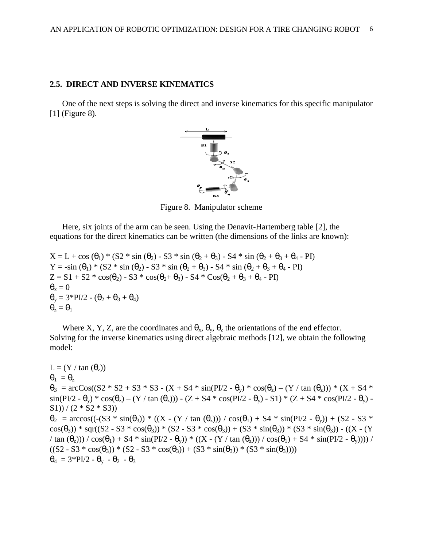#### **2.5. DIRECT AND INVERSE KINEMATICS**

One of the next steps is solving the direct and inverse kinematics for this specific manipulator [1] (Figure 8).



Figure 8. Manipulator scheme

Here, six joints of the arm can be seen. Using the Denavit-Hartemberg table [2], the equations for the direct kinematics can be written (the dimensions of the links are known):

 $X = L + \cos(\theta_1) * (S2 * \sin(\theta_2) - S3 * \sin(\theta_2 + \theta_3) - S4 * \sin(\theta_2 + \theta_3 + \theta_4 - PI)$ Y = -sin ( $\theta_1$ ) \* (S2 \* sin ( $\theta_2$ ) - S3 \* sin ( $\theta_2$  +  $\theta_3$ ) - S4 \* sin ( $\theta_2$  +  $\theta_3$  +  $\theta_4$  - PI)  $Z = S1 + S2 * cos(\theta_2) - S3 * cos(\theta_2 + \theta_3) - S4 * Cos(\theta_2 + \theta_3 + \theta_4 - PI)$  $\theta_{\rm x}=0$  $\theta_y = 3*PI/2 - (\theta_2 + \theta_3 + \theta_4)$  $\theta_{z} = \theta_{1}$ 

Where X, Y, Z, are the coordinates and  $\theta_x$ ,  $\theta_y$ ,  $\theta_z$ , the orientations of the end effector. Solving for the inverse kinematics using direct algebraic methods [12], we obtain the following model:

 $L = (Y / \tan(\theta_z))$  $\theta_1 = \theta_{\rm z}$  $θ_3 = arcCos((S2 * S2 + S3 * S3 - (X + S4 * sin(PL/2 - θ) * cos(θ_2) - (Y / tan (θ_2))) * (X + S4 * sin(θ_2)))$  $\sin(PI/2 - \theta_v) * \cos(\theta_z) - (Y / \tan(\theta_z)) - (Z + S4 * \cos(PI/2 - \theta_v) - S1) * (Z + S4 * \cos(PI/2 - \theta_v) S1)$ ) / (2 \*  $S2$  \*  $S3)$ )  $\theta_2$  = arccos((-(S3 \* sin( $\theta_3$ )) \* ((X - (Y / tan  $(\theta_2)$ )) / cos( $\theta_1$ ) + S4 \* sin(PI/2 -  $\theta_v$ )) + (S2 - S3 \*  $\cos(\theta_3)$ ) \* sqr((S2 - S3 \* cos( $\theta_3$ )) \* (S2 - S3 \* cos( $\theta_3$ )) + (S3 \* sin( $\theta_3$ )) \* (S3 \* sin( $\theta_3$ )) - ((X - (Y / tan  $(\theta_2)$ )) / cos( $\theta_1$ ) + S4 \* sin(PI/2 -  $\theta_v$ )) \* ((X - (Y / tan  $(\theta_2)$ )) / cos( $\theta_1$ ) + S4 \* sin(PI/2 -  $\theta_v$ )))) /  $((S2 - S3 * cos(\theta_3)) * (S2 - S3 * cos(\theta_3)) + (S3 * sin(\theta_3)) * (S3 * sin(\theta_3))))$  $\theta_4 = 3*PI/2 - \theta_v - \theta_2 - \theta_3$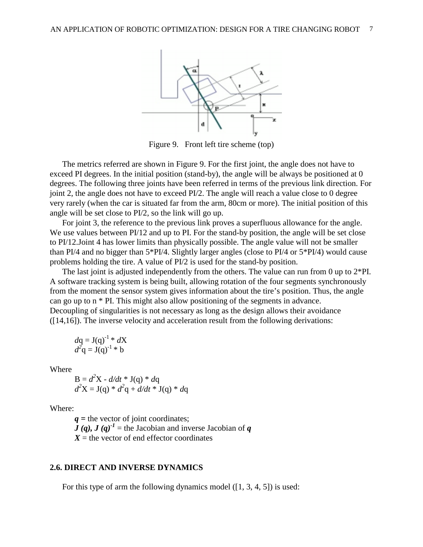

Figure 9. Front left tire scheme (top)

The metrics referred are shown in Figure 9. For the first joint, the angle does not have to exceed PI degrees. In the initial position (stand-by), the angle will be always be positioned at 0 degrees. The following three joints have been referred in terms of the previous link direction. For joint 2, the angle does not have to exceed PI/2. The angle will reach a value close to 0 degree very rarely (when the car is situated far from the arm, 80cm or more). The initial position of this angle will be set close to PI/2, so the link will go up.

For joint 3, the reference to the previous link proves a superfluous allowance for the angle. We use values between PI/12 and up to PI. For the stand-by position, the angle will be set close to PI/12.Joint 4 has lower limits than physically possible. The angle value will not be smaller than PI/4 and no bigger than 5\*PI/4. Slightly larger angles (close to PI/4 or 5\*PI/4) would cause problems holding the tire. A value of PI/2 is used for the stand-by position.

The last joint is adjusted independently from the others. The value can run from 0 up to  $2*PI$ . A software tracking system is being built, allowing rotation of the four segments synchronously from the moment the sensor system gives information about the tire's position. Thus, the angle can go up to n \* PI. This might also allow positioning of the segments in advance. Decoupling of singularities is not necessary as long as the design allows their avoidance ([14,16]). The inverse velocity and acceleration result from the following derivations:

$$
dq = J(q)^{-1} * dX
$$
  

$$
d2q = J(q)^{-1} * b
$$

Where

$$
B = d2X - d/dt * J(q) * dq
$$
  

$$
d2X = J(q) * d2q + d/dt * J(q) * dq
$$

Where:

*q* **=** the vector of joint coordinates;  $J(q)$ ,  $J(q)^{-1}$  = the Jacobian and inverse Jacobian of *q*  $X =$  the vector of end effector coordinates

# **2.6. DIRECT AND INVERSE DYNAMICS**

For this type of arm the following dynamics model ([1, 3, 4, 5]) is used: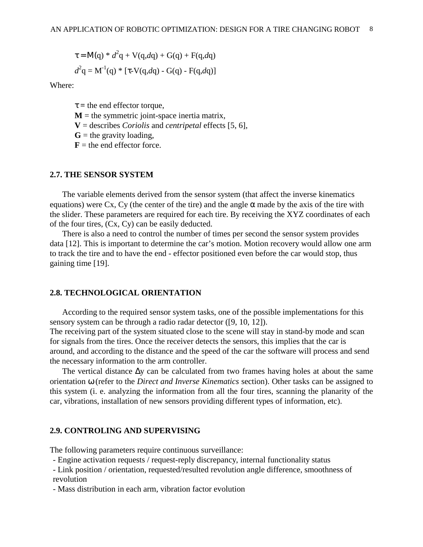$$
\tau = M(q) * d^{2}q + V(q, dq) + G(q) + F(q, dq)
$$
  

$$
d^{2}q = M^{-1}(q) * [\tau - V(q, dq) - G(q) - F(q, dq)]
$$

Where:

 $\tau$  = the end effector torque,

- $M =$  the symmetric joint-space inertia matrix,
- **V** = describes *Coriolis* and *centripetal* effects [5, 6],

 $G$  = the gravity loading,

 **= the end effector force.** 

#### **2.7. THE SENSOR SYSTEM**

The variable elements derived from the sensor system (that affect the inverse kinematics equations) were Cx, Cy (the center of the tire) and the angle  $\alpha$  made by the axis of the tire with the slider. These parameters are required for each tire. By receiving the XYZ coordinates of each of the four tires, (Cx, Cy) can be easily deducted.

There is also a need to control the number of times per second the sensor system provides data [12]. This is important to determine the car's motion. Motion recovery would allow one arm to track the tire and to have the end - effector positioned even before the car would stop, thus gaining time [19].

# **2.8. TECHNOLOGICAL ORIENTATION**

According to the required sensor system tasks, one of the possible implementations for this sensory system can be through a radio radar detector ([9, 10, 12]).

The receiving part of the system situated close to the scene will stay in stand-by mode and scan for signals from the tires. Once the receiver detects the sensors, this implies that the car is around, and according to the distance and the speed of the car the software will process and send the necessary information to the arm controller.

The vertical distance ∆y can be calculated from two frames having holes at about the same orientation ω (refer to the *Direct and Inverse Kinematics* section). Other tasks can be assigned to this system (i. e. analyzing the information from all the four tires, scanning the planarity of the car, vibrations, installation of new sensors providing different types of information, etc).

## **2.9. CONTROLING AND SUPERVISING**

The following parameters require continuous surveillance:

- Engine activation requests / request-reply discrepancy, internal functionality status

- Link position / orientation, requested/resulted revolution angle difference, smoothness of revolution

- Mass distribution in each arm, vibration factor evolution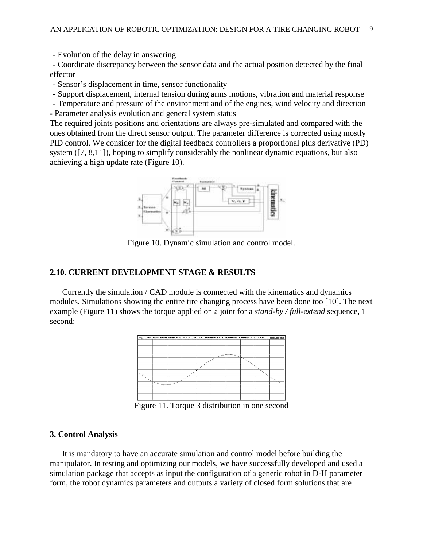- Evolution of the delay in answering

- Coordinate discrepancy between the sensor data and the actual position detected by the final effector

- Sensor's displacement in time, sensor functionality

- Support displacement, internal tension during arms motions, vibration and material response

- Temperature and pressure of the environment and of the engines, wind velocity and direction - Parameter analysis evolution and general system status

The required joints positions and orientations are always pre-simulated and compared with the ones obtained from the direct sensor output. The parameter difference is corrected using mostly PID control. We consider for the digital feedback controllers a proportional plus derivative (PD) system ([7, 8,11]), hoping to simplify considerably the nonlinear dynamic equations, but also achieving a high update rate (Figure 10).



Figure 10. Dynamic simulation and control model.

## **2.10. CURRENT DEVELOPMENT STAGE & RESULTS**

Currently the simulation / CAD module is connected with the kinematics and dynamics modules. Simulations showing the entire tire changing process have been done too [10]. The next example (Figure 11) shows the torque applied on a joint for a *stand-by / full-extend* sequence, 1 second:



Figure 11. Torque 3 distribution in one second

## **3. Control Analysis**

It is mandatory to have an accurate simulation and control model before building the manipulator. In testing and optimizing our models, we have successfully developed and used a simulation package that accepts as input the configuration of a generic robot in D-H parameter form, the robot dynamics parameters and outputs a variety of closed form solutions that are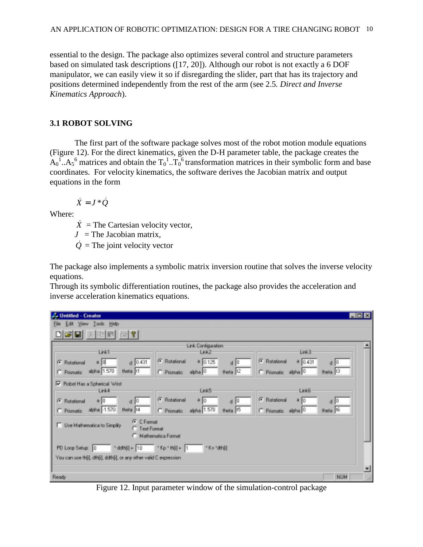essential to the design. The package also optimizes several control and structure parameters based on simulated task descriptions ([17, 20]). Although our robot is not exactly a 6 DOF manipulator, we can easily view it so if disregarding the slider, part that has its trajectory and positions determined independently from the rest of the arm (see 2.5*. Direct and Inverse Kinematics Approach*).

# **3.1 ROBOT SOLVING**

The first part of the software package solves most of the robot motion module equations (Figure 12). For the direct kinematics, given the D-H parameter table, the package creates the  $A_0$ <sup>1</sup>.. $A_5$ <sup>6</sup> matrices and obtain the  $T_0$ <sup>1</sup>.. $T_0$ <sup>6</sup> transformation matrices in their symbolic form and base coordinates. For velocity kinematics, the software derives the Jacobian matrix and output equations in the form

 $\dot{X} = J^* \dot{O}$ 

Where:

 $\dot{X}$  = The Cartesian velocity vector,

 $J =$ The Jacobian matrix,

 $\dot{Q}$  = The joint velocity vector

The package also implements a symbolic matrix inversion routine that solves the inverse velocity equations.

Through its symbolic differentiation routines, the package also provides the acceleration and inverse acceleration kinematics equations.

| <b>J. Untitled - Creator</b>                                                                                                        | <b>LOX</b>       |  |  |  |  |  |
|-------------------------------------------------------------------------------------------------------------------------------------|------------------|--|--|--|--|--|
| File Edit View Tools Help                                                                                                           |                  |  |  |  |  |  |
| 미혜민<br>$X$ to $R$ $\approx$ $\gamma$                                                                                                |                  |  |  |  |  |  |
| Link Configuration<br>Link1<br>Link3<br>Link2                                                                                       |                  |  |  |  |  |  |
| G Rotational<br><b>G</b> Rotational<br>$a \ 0.431$<br>$a$ 0.125<br>$d$ 0.431<br>$a \mid 0$<br>G Rotational<br>$d$   0               | $d$ 0            |  |  |  |  |  |
| alpha 1.570<br>theta t1<br>theta 12<br>theta 13<br>alpha 0<br>C Prismatic alpha 0<br>C Prismatic<br>C Prismatic                     |                  |  |  |  |  |  |
| M Robot Has a Spherical Wrist<br>Link4<br>Link5<br>LinkS:                                                                           |                  |  |  |  |  |  |
| G Rotational<br>G Rotational<br>a 0<br>a 0<br>80<br>G Rotational<br>$d \parallel 0$<br>$d \mid 0$                                   | $d$ <sup>0</sup> |  |  |  |  |  |
| alpha -1.570<br>alpha 1.570<br>theta t4<br>theta IS<br>theta 15<br>C Prismatic<br>C Prismatic<br>C Prismatic<br>alpha <sup>10</sup> |                  |  |  |  |  |  |
| <b>G</b> C Format<br><b>IT</b> Use Mathematica to Simplify<br>C Text Format<br>Mathematica Format                                   |                  |  |  |  |  |  |
| $Kp * b[i] + 1$<br>$*$ ddfh[i] + $10$<br>"Kv"dh[i]<br>PD Loop Setup: 0                                                              |                  |  |  |  |  |  |
| You can use thijl, dthijl, ddthijl, or any other valid C expression                                                                 |                  |  |  |  |  |  |
|                                                                                                                                     |                  |  |  |  |  |  |
| Ready                                                                                                                               | <b>NUM</b>       |  |  |  |  |  |

Figure 12. Input parameter window of the simulation-control package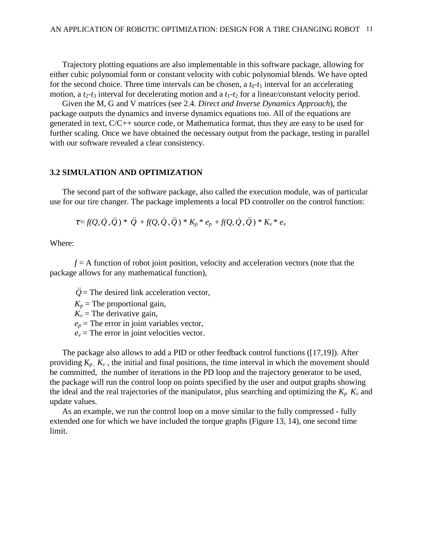Trajectory plotting equations are also implementable in this software package, allowing for either cubic polynomial form or constant velocity with cubic polynomial blends. We have opted for the second choice. Three time intervals can be chosen, a  $t_0$ - $t_1$  interval for an accelerating motion, a  $t_2$ - $t_3$  interval for decelerating motion and a  $t_1$ - $t_2$  for a linear/constant velocity period.

Given the M, G and V matrices (see 2.4*. Direct and Inverse Dynamics Approach*), the package outputs the dynamics and inverse dynamics equations too. All of the equations are generated in text, C/C++ source code, or Mathematica format, thus they are easy to be used for further scaling. Once we have obtained the necessary output from the package, testing in parallel with our software revealed a clear consistency.

#### **3.2 SIMULATION AND OPTIMIZATION**

The second part of the software package, also called the execution module, was of particular use for our tire changer. The package implements a local PD controller on the control function:

$$
\tau = f(Q, \dot{Q}, \ddot{Q}) * \ddot{Q} + f(Q, \dot{Q}, \ddot{Q}) * K_p * e_p + f(Q, \dot{Q}, \ddot{Q}) * K_v * e_v
$$

Where:

*f* = A function of robot joint position, velocity and acceleration vectors (note that the package allows for any mathematical function),

- $\ddot{Q}$  = The desired link acceleration vector,
- $K_p$  = The proportional gain,
- $K_v$  = The derivative gain,
- $e_p$  = The error in joint variables vector,
- $e_v$  = The error in joint velocities vector.

The package also allows to add a PID or other feedback control functions ([17,19]). After providing  $K_p$ ,  $K_v$ , the initial and final positions, the time interval in which the movement should be committed, the number of iterations in the PD loop and the trajectory generator to be used, the package will run the control loop on points specified by the user and output graphs showing the ideal and the real trajectories of the manipulator, plus searching and optimizing the  $K_p$ ,  $K_v$  and update values.

As an example, we run the control loop on a move similar to the fully compressed - fully extended one for which we have included the torque graphs (Figure 13, 14), one second time limit.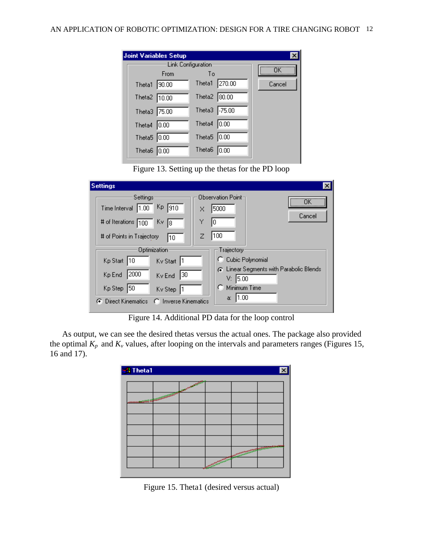|                | <b>Joint Variables Setup</b> |                       |               |        |
|----------------|------------------------------|-----------------------|---------------|--------|
|                |                              | Link Configuration:   |               | ΠK     |
|                | From                         | To                    |               |        |
| Theta1 90.00   |                              |                       | Theta1 270.00 | Cancel |
| Theta2 10.00   |                              | Theta2 80.00          |               |        |
| Theta3 75.00   |                              | Theta3 -75.00         |               |        |
| Theta4 $ 0.00$ |                              | Theta4                | 0.00          |        |
| Theta5 0.00    |                              | Theta5 0.00           |               |        |
| Theta6 $0.00$  |                              | Theta6 $\boxed{0.00}$ |               |        |

Figure 13. Setting up the thetas for the PD loop

| <b>Settings</b>                                                                                  |                             |                                                           |                |
|--------------------------------------------------------------------------------------------------|-----------------------------|-----------------------------------------------------------|----------------|
| Settings<br>Kp.<br>Time Interval 1.00<br># of Iterations 100<br>Kv.<br># of Points in Trajectory | 910<br>X<br>Υ<br>18.<br>l10 | Observation Point⊣<br>5000<br>10<br>100                   | <br><br>Cancel |
| Optimization                                                                                     |                             | Trajectory                                                |                |
| Kp Start 10                                                                                      | Ky Start  1                 | C Cubic Polynomial                                        |                |
| 2000<br>Kp End                                                                                   | 30<br>Kv End                | <b>G</b> Linear Segments with Parabolic Blends<br>V: 5.00 |                |
| Kp Step<br>150                                                                                   | Kv Step                     | Minimum Time                                              |                |
| <b>Direct Kinematics</b>                                                                         | <b>Inverse Kinematics</b>   | 11.00<br>a:                                               |                |

Figure 14. Additional PD data for the loop control

As output, we can see the desired thetas versus the actual ones. The package also provided the optimal  $K_p$  and  $K_v$  values, after looping on the intervals and parameters ranges (Figures 15, 16 and 17).

| en Theta1                                      |                               | $\bar{\mathbf{x}}$       |
|------------------------------------------------|-------------------------------|--------------------------|
| NAMES OF TAXABLE PARTIES OF TAXABLE PARTIES OF |                               |                          |
|                                                |                               |                          |
|                                                |                               |                          |
|                                                |                               |                          |
|                                                |                               |                          |
|                                                |                               | <b><i>CONTRACTOR</i></b> |
|                                                | <b>CONTRACTOR COMMENTANTS</b> |                          |
|                                                |                               |                          |

Figure 15. Theta1 (desired versus actual)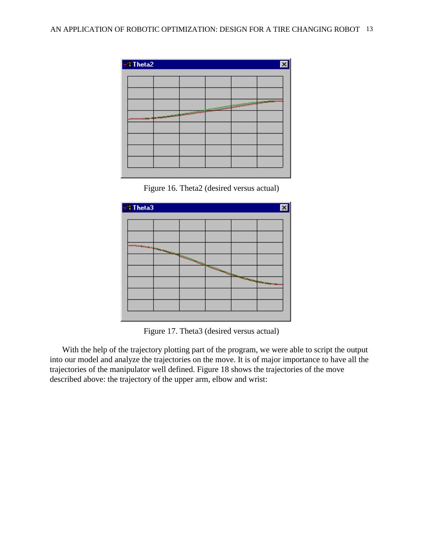| and Theta2   |                                                  |                    |                                       | $\overline{\mathbf{x}}$ |
|--------------|--------------------------------------------------|--------------------|---------------------------------------|-------------------------|
|              |                                                  |                    |                                       |                         |
|              |                                                  |                    |                                       |                         |
|              | <b>President Company and Company and Company</b> | <u>ang Sistema</u> | <b>CONSUMING REPORT OF THE OWNER.</b> |                         |
| ************ |                                                  |                    |                                       |                         |
|              |                                                  |                    |                                       |                         |
|              |                                                  |                    |                                       |                         |
|              |                                                  |                    |                                       |                         |





Figure 17. Theta3 (desired versus actual)

With the help of the trajectory plotting part of the program, we were able to script the output into our model and analyze the trajectories on the move. It is of major importance to have all the trajectories of the manipulator well defined. Figure 18 shows the trajectories of the move described above: the trajectory of the upper arm, elbow and wrist: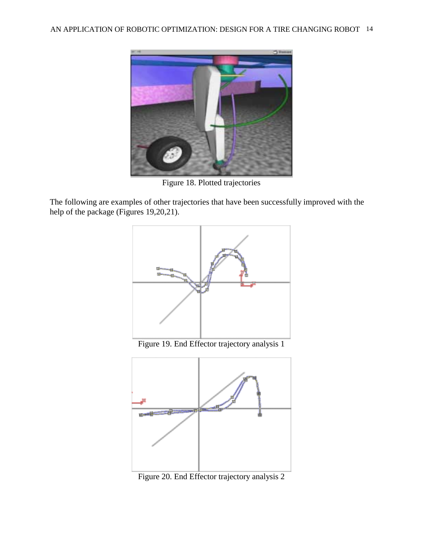

Figure 18. Plotted trajectories

The following are examples of other trajectories that have been successfully improved with the help of the package (Figures 19,20,21).



Figure 20. End Effector trajectory analysis 2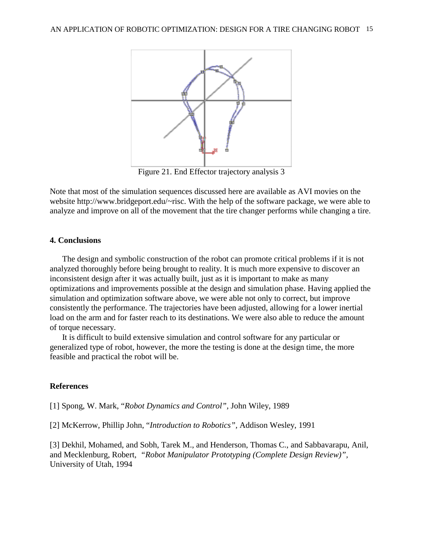

Figure 21. End Effector trajectory analysis 3

Note that most of the simulation sequences discussed here are available as AVI movies on the website http://www.bridgeport.edu/~risc. With the help of the software package, we were able to analyze and improve on all of the movement that the tire changer performs while changing a tire.

## **4. Conclusions**

The design and symbolic construction of the robot can promote critical problems if it is not analyzed thoroughly before being brought to reality. It is much more expensive to discover an inconsistent design after it was actually built, just as it is important to make as many optimizations and improvements possible at the design and simulation phase. Having applied the simulation and optimization software above, we were able not only to correct, but improve consistently the performance. The trajectories have been adjusted, allowing for a lower inertial load on the arm and for faster reach to its destinations. We were also able to reduce the amount of torque necessary.

It is difficult to build extensive simulation and control software for any particular or generalized type of robot, however, the more the testing is done at the design time, the more feasible and practical the robot will be.

## **References**

[1] Spong, W. Mark, "*Robot Dynamics and Control",* John Wiley, 1989

[2] McKerrow, Phillip John, "*Introduction to Robotics",* Addison Wesley, 1991

[3] Dekhil, Mohamed, and Sobh, Tarek M., and Henderson, Thomas C., and Sabbavarapu, Anil, and Mecklenburg, Robert, *"Robot Manipulator Prototyping (Complete Design Review)",* University of Utah, 1994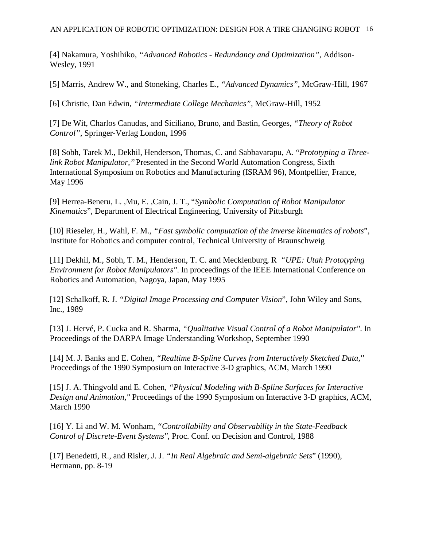[4] Nakamura, Yoshihiko, *"Advanced Robotics - Redundancy and Optimization"*, Addison-Wesley, 1991

[5] Marris, Andrew W., and Stoneking, Charles E., *"Advanced Dynamics"*, McGraw-Hill, 1967

[6] Christie, Dan Edwin, *"Intermediate College Mechanics",* McGraw-Hill, 1952

[7] De Wit, Charlos Canudas, and Siciliano, Bruno, and Bastin, Georges, *"Theory of Robot Control"*, Springer-Verlag London, 1996

[8] Sobh, Tarek M., Dekhil, Henderson, Thomas, C. and Sabbavarapu, A. "*Prototyping a Threelink Robot Manipulator,''* Presented in the Second World Automation Congress, Sixth International Symposium on Robotics and Manufacturing (ISRAM 96), Montpellier, France, May 1996

[9] Herrea-Beneru, L. ,Mu, E. ,Cain, J. T., "*Symbolic Computation of Robot Manipulator Kinematics*", Department of Electrical Engineering, University of Pittsburgh

[10] Rieseler, H., Wahl, F. M., *"Fast symbolic computation of the inverse kinematics of robots*", Institute for Robotics and computer control, Technical University of Braunschweig

[11] Dekhil, M., Sobh, T. M., Henderson, T. C. and Mecklenburg, R *"UPE: Utah Prototyping Environment for Robot Manipulators''*. In proceedings of the IEEE International Conference on Robotics and Automation, Nagoya, Japan, May 1995

[12] Schalkoff, R. J. *"Digital Image Processing and Computer Vision*", John Wiley and Sons, Inc., 1989

[13] J. Hervé, P. Cucka and R. Sharma, *"Qualitative Visual Control of a Robot Manipulator''*. In Proceedings of the DARPA Image Understanding Workshop, September 1990

[14] M. J. Banks and E. Cohen, *"Realtime B-Spline Curves from Interactively Sketched Data,''* Proceedings of the 1990 Symposium on Interactive 3-D graphics, ACM, March 1990

[15] J. A. Thingvold and E. Cohen, *"Physical Modeling with B-Spline Surfaces for Interactive Design and Animation,''* Proceedings of the 1990 Symposium on Interactive 3-D graphics, ACM, March 1990

[16] Y. Li and W. M. Wonham, *"Controllability and Observability in the State-Feedback Control of Discrete-Event Systems''*, Proc. Conf. on Decision and Control, 1988

[17] Benedetti, R., and Risler, J. J. *"In Real Algebraic and Semi-algebraic Sets*" (1990), Hermann, pp. 8-19